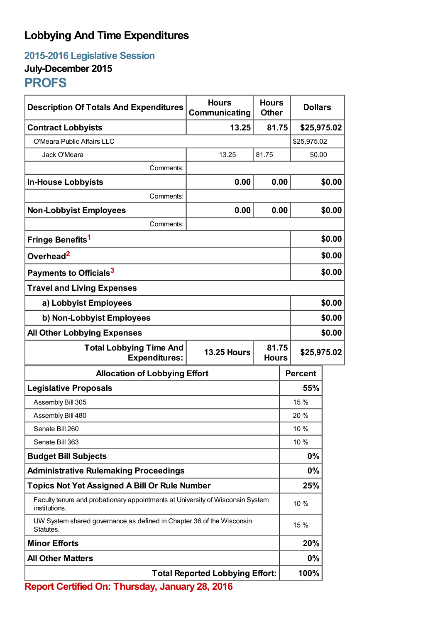## **Lobbying And Time Expenditures**

**2015-2016 Legislative Session July-December 2015**

## **PROFS**

| <b>Description Of Totals And Expenditures</b>                                                         | <b>Hours</b><br>Communicating | <b>Hours</b><br><b>Other</b> | <b>Dollars</b> |        |
|-------------------------------------------------------------------------------------------------------|-------------------------------|------------------------------|----------------|--------|
| <b>Contract Lobbyists</b>                                                                             | 13.25                         | 81.75                        | \$25,975.02    |        |
| O'Meara Public Affairs LLC                                                                            |                               |                              | \$25,975.02    |        |
| Jack O'Meara                                                                                          | 13.25                         | 81.75                        | \$0.00         |        |
| Comments:                                                                                             |                               |                              |                |        |
| <b>In-House Lobbyists</b>                                                                             | 0.00                          | 0.00                         |                | \$0.00 |
| Comments:                                                                                             |                               |                              |                |        |
| <b>Non-Lobbyist Employees</b>                                                                         | 0.00                          | 0.00                         |                | \$0.00 |
| Comments:                                                                                             |                               |                              |                |        |
| Fringe Benefits <sup>1</sup>                                                                          |                               |                              |                | \$0.00 |
| Overhead <sup>2</sup>                                                                                 |                               |                              |                | \$0.00 |
| Payments to Officials <sup>3</sup>                                                                    |                               |                              |                | \$0.00 |
| <b>Travel and Living Expenses</b>                                                                     |                               |                              |                |        |
| a) Lobbyist Employees                                                                                 |                               |                              | \$0.00         |        |
| b) Non-Lobbyist Employees                                                                             |                               |                              | \$0.00         |        |
| <b>All Other Lobbying Expenses</b>                                                                    |                               |                              |                | \$0.00 |
| 81.75<br><b>Total Lobbying Time And</b><br><b>13.25 Hours</b><br><b>Expenditures:</b><br><b>Hours</b> |                               |                              | \$25,975.02    |        |
| <b>Allocation of Lobbying Effort</b>                                                                  |                               |                              | <b>Percent</b> |        |
| <b>Legislative Proposals</b>                                                                          |                               |                              | 55%            |        |
| Assembly Bill 305                                                                                     |                               |                              | 15 %           |        |
| Assembly Bill 480                                                                                     |                               |                              | 20 %           |        |
| Senate Bill 260                                                                                       |                               |                              | 10 %           |        |
| Senate Bill 363                                                                                       |                               |                              | 10 %           |        |
| <b>Budget Bill Subjects</b>                                                                           |                               |                              | 0%             |        |
| <b>Administrative Rulemaking Proceedings</b>                                                          |                               |                              | 0%             |        |
| <b>Topics Not Yet Assigned A Bill Or Rule Number</b>                                                  |                               |                              | 25%            |        |
| Faculty tenure and probationary appointments at University of Wisconsin System<br>institutions.       |                               |                              | 10 %           |        |
| UW System shared governance as defined in Chapter 36 of the Wisconsin<br>Statutes.                    |                               |                              | 15 %           |        |
| <b>Minor Efforts</b>                                                                                  |                               |                              | 20%            |        |
| <b>All Other Matters</b>                                                                              |                               |                              | 0%             |        |
| <b>Total Reported Lobbying Effort:</b>                                                                |                               |                              | 100%           |        |

**Report Certified On: Thursday, January 28, 2016**